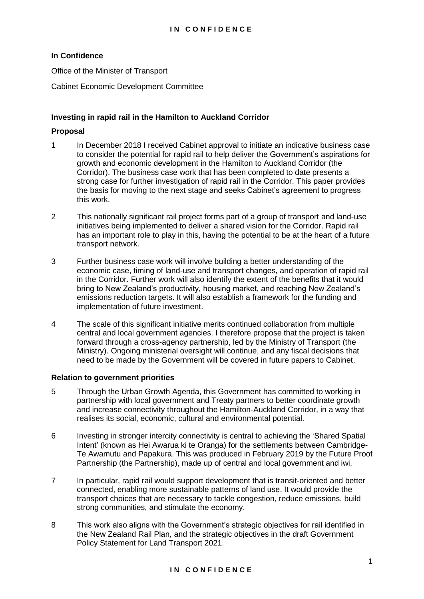# **In Confidence**

Office of the Minister of Transport

Cabinet Economic Development Committee

## **Investing in rapid rail in the Hamilton to Auckland Corridor**

## **Proposal**

- 1 In December 2018 I received Cabinet approval to initiate an indicative business case to consider the potential for rapid rail to help deliver the Government's aspirations for growth and economic development in the Hamilton to Auckland Corridor (the Corridor). The business case work that has been completed to date presents a strong case for further investigation of rapid rail in the Corridor. This paper provides the basis for moving to the next stage and seeks Cabinet's agreement to progress this work.
- 2 This nationally significant rail project forms part of a group of transport and land-use initiatives being implemented to deliver a shared vision for the Corridor. Rapid rail has an important role to play in this, having the potential to be at the heart of a future transport network.
- 3 Further business case work will involve building a better understanding of the economic case, timing of land-use and transport changes, and operation of rapid rail in the Corridor. Further work will also identify the extent of the benefits that it would bring to New Zealand's productivity, housing market, and reaching New Zealand's emissions reduction targets. It will also establish a framework for the funding and implementation of future investment.
- 4 The scale of this significant initiative merits continued collaboration from multiple central and local government agencies. I therefore propose that the project is taken forward through a cross-agency partnership, led by the Ministry of Transport (the Ministry). Ongoing ministerial oversight will continue, and any fiscal decisions that need to be made by the Government will be covered in future papers to Cabinet.

#### **Relation to government priorities**

- 5 Through the Urban Growth Agenda, this Government has committed to working in partnership with local government and Treaty partners to better coordinate growth and increase connectivity throughout the Hamilton-Auckland Corridor, in a way that realises its social, economic, cultural and environmental potential.
- 6 Investing in stronger intercity connectivity is central to achieving the 'Shared Spatial Intent' (known as Hei Awarua ki te Oranga) for the settlements between Cambridge-Te Awamutu and Papakura. This was produced in February 2019 by the Future Proof Partnership (the Partnership), made up of central and local government and iwi.
- 7 In particular, rapid rail would support development that is transit-oriented and better connected, enabling more sustainable patterns of land use. It would provide the transport choices that are necessary to tackle congestion, reduce emissions, build strong communities, and stimulate the economy.
- 8 This work also aligns with the Government's strategic objectives for rail identified in the New Zealand Rail Plan, and the strategic objectives in the draft Government Policy Statement for Land Transport 2021.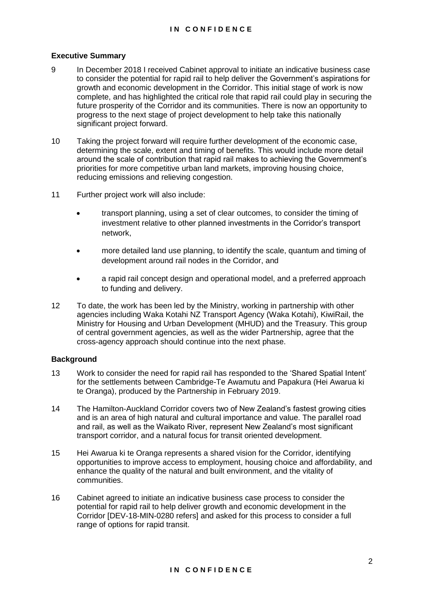## **Executive Summary**

- 9 In December 2018 I received Cabinet approval to initiate an indicative business case to consider the potential for rapid rail to help deliver the Government's aspirations for growth and economic development in the Corridor. This initial stage of work is now complete, and has highlighted the critical role that rapid rail could play in securing the future prosperity of the Corridor and its communities. There is now an opportunity to progress to the next stage of project development to help take this nationally significant project forward.
- 10 Taking the project forward will require further development of the economic case, determining the scale, extent and timing of benefits. This would include more detail around the scale of contribution that rapid rail makes to achieving the Government's priorities for more competitive urban land markets, improving housing choice, reducing emissions and relieving congestion.
- 11 Further project work will also include:
	- transport planning, using a set of clear outcomes, to consider the timing of investment relative to other planned investments in the Corridor's transport network,
	- more detailed land use planning, to identify the scale, quantum and timing of development around rail nodes in the Corridor, and
	- a rapid rail concept design and operational model, and a preferred approach to funding and delivery.
- 12 To date, the work has been led by the Ministry, working in partnership with other agencies including Waka Kotahi NZ Transport Agency (Waka Kotahi), KiwiRail, the Ministry for Housing and Urban Development (MHUD) and the Treasury. This group of central government agencies, as well as the wider Partnership, agree that the cross-agency approach should continue into the next phase.

## **Background**

- 13 Work to consider the need for rapid rail has responded to the 'Shared Spatial Intent' for the settlements between Cambridge-Te Awamutu and Papakura (Hei Awarua ki te Oranga), produced by the Partnership in February 2019.
- 14 The Hamilton-Auckland Corridor covers two of New Zealand's fastest growing cities and is an area of high natural and cultural importance and value. The parallel road and rail, as well as the Waikato River, represent New Zealand's most significant transport corridor, and a natural focus for transit oriented development.
- 15 Hei Awarua ki te Oranga represents a shared vision for the Corridor, identifying opportunities to improve access to employment, housing choice and affordability, and enhance the quality of the natural and built environment, and the vitality of communities.
- 16 Cabinet agreed to initiate an indicative business case process to consider the potential for rapid rail to help deliver growth and economic development in the Corridor [DEV-18-MIN-0280 refers] and asked for this process to consider a full range of options for rapid transit.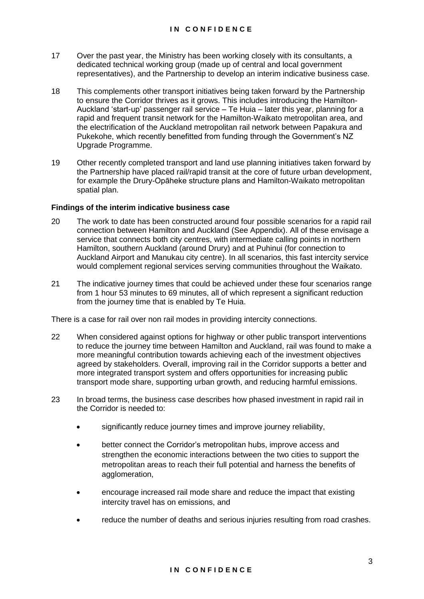- 17 Over the past year, the Ministry has been working closely with its consultants, a dedicated technical working group (made up of central and local government representatives), and the Partnership to develop an interim indicative business case.
- 18 This complements other transport initiatives being taken forward by the Partnership to ensure the Corridor thrives as it grows. This includes introducing the Hamilton-Auckland 'start-up' passenger rail service – Te Huia – later this year, planning for a rapid and frequent transit network for the Hamilton-Waikato metropolitan area, and the electrification of the Auckland metropolitan rail network between Papakura and Pukekohe, which recently benefitted from funding through the Government's NZ Upgrade Programme.
- 19 Other recently completed transport and land use planning initiatives taken forward by the Partnership have placed rail/rapid transit at the core of future urban development, for example the Drury-Opāheke structure plans and Hamilton-Waikato metropolitan spatial plan.

## **Findings of the interim indicative business case**

- 20 The work to date has been constructed around four possible scenarios for a rapid rail connection between Hamilton and Auckland (See Appendix). All of these envisage a service that connects both city centres, with intermediate calling points in northern Hamilton, southern Auckland (around Drury) and at Puhinui (for connection to Auckland Airport and Manukau city centre). In all scenarios, this fast intercity service would complement regional services serving communities throughout the Waikato.
- 21 The indicative journey times that could be achieved under these four scenarios range from 1 hour 53 minutes to 69 minutes, all of which represent a significant reduction from the journey time that is enabled by Te Huia.

There is a case for rail over non rail modes in providing intercity connections.

- 22 When considered against options for highway or other public transport interventions to reduce the journey time between Hamilton and Auckland, rail was found to make a more meaningful contribution towards achieving each of the investment objectives agreed by stakeholders. Overall, improving rail in the Corridor supports a better and more integrated transport system and offers opportunities for increasing public transport mode share, supporting urban growth, and reducing harmful emissions.
- 23 In broad terms, the business case describes how phased investment in rapid rail in the Corridor is needed to:
	- significantly reduce journey times and improve journey reliability,
	- better connect the Corridor's metropolitan hubs, improve access and strengthen the economic interactions between the two cities to support the metropolitan areas to reach their full potential and harness the benefits of agglomeration,
	- encourage increased rail mode share and reduce the impact that existing intercity travel has on emissions, and
	- reduce the number of deaths and serious injuries resulting from road crashes.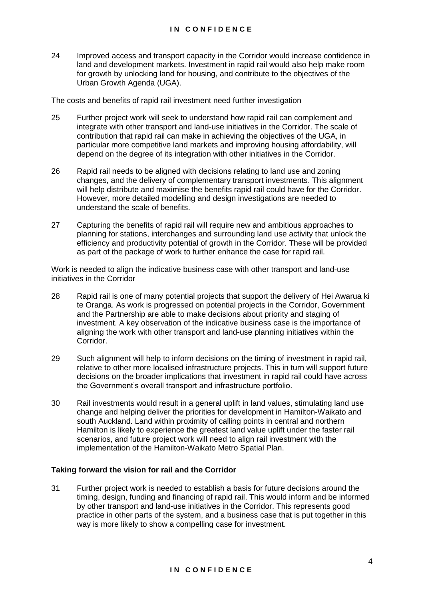24 Improved access and transport capacity in the Corridor would increase confidence in land and development markets. Investment in rapid rail would also help make room for growth by unlocking land for housing, and contribute to the objectives of the Urban Growth Agenda (UGA).

The costs and benefits of rapid rail investment need further investigation

- 25 Further project work will seek to understand how rapid rail can complement and integrate with other transport and land-use initiatives in the Corridor. The scale of contribution that rapid rail can make in achieving the objectives of the UGA, in particular more competitive land markets and improving housing affordability, will depend on the degree of its integration with other initiatives in the Corridor.
- 26 Rapid rail needs to be aligned with decisions relating to land use and zoning changes, and the delivery of complementary transport investments. This alignment will help distribute and maximise the benefits rapid rail could have for the Corridor. However, more detailed modelling and design investigations are needed to understand the scale of benefits.
- 27 Capturing the benefits of rapid rail will require new and ambitious approaches to planning for stations, interchanges and surrounding land use activity that unlock the efficiency and productivity potential of growth in the Corridor. These will be provided as part of the package of work to further enhance the case for rapid rail.

Work is needed to align the indicative business case with other transport and land-use initiatives in the Corridor

- 28 Rapid rail is one of many potential projects that support the delivery of Hei Awarua ki te Oranga. As work is progressed on potential projects in the Corridor, Government and the Partnership are able to make decisions about priority and staging of investment. A key observation of the indicative business case is the importance of aligning the work with other transport and land-use planning initiatives within the Corridor.
- 29 Such alignment will help to inform decisions on the timing of investment in rapid rail, relative to other more localised infrastructure projects. This in turn will support future decisions on the broader implications that investment in rapid rail could have across the Government's overall transport and infrastructure portfolio.
- 30 Rail investments would result in a general uplift in land values, stimulating land use change and helping deliver the priorities for development in Hamilton-Waikato and south Auckland. Land within proximity of calling points in central and northern Hamilton is likely to experience the greatest land value uplift under the faster rail scenarios, and future project work will need to align rail investment with the implementation of the Hamilton-Waikato Metro Spatial Plan.

## **Taking forward the vision for rail and the Corridor**

31 Further project work is needed to establish a basis for future decisions around the timing, design, funding and financing of rapid rail. This would inform and be informed by other transport and land-use initiatives in the Corridor. This represents good practice in other parts of the system, and a business case that is put together in this way is more likely to show a compelling case for investment.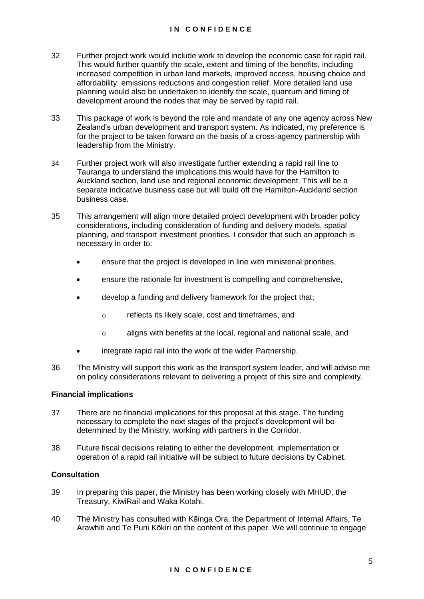- 32 Further project work would include work to develop the economic case for rapid rail. This would further quantify the scale, extent and timing of the benefits, including increased competition in urban land markets, improved access, housing choice and affordability, emissions reductions and congestion relief. More detailed land use planning would also be undertaken to identify the scale, quantum and timing of development around the nodes that may be served by rapid rail.
- 33 This package of work is beyond the role and mandate of any one agency across New Zealand's urban development and transport system. As indicated, my preference is for the project to be taken forward on the basis of a cross-agency partnership with leadership from the Ministry.
- 34 Further project work will also investigate further extending a rapid rail line to Tauranga to understand the implications this would have for the Hamilton to Auckland section, land use and regional economic development. This will be a separate indicative business case but will build off the Hamilton-Auckland section business case.
- 35 This arrangement will align more detailed project development with broader policy considerations, including consideration of funding and delivery models, spatial planning, and transport investment priorities. I consider that such an approach is necessary in order to:
	- ensure that the project is developed in line with ministerial priorities,
	- ensure the rationale for investment is compelling and comprehensive,
	- develop a funding and delivery framework for the project that;
		- o reflects its likely scale, cost and timeframes, and
		- o aligns with benefits at the local, regional and national scale, and
	- integrate rapid rail into the work of the wider Partnership.
- 36 The Ministry will support this work as the transport system leader, and will advise me on policy considerations relevant to delivering a project of this size and complexity.

#### **Financial implications**

- 37 There are no financial implications for this proposal at this stage. The funding necessary to complete the next stages of the project's development will be determined by the Ministry, working with partners in the Corridor.
- 38 Future fiscal decisions relating to either the development, implementation or operation of a rapid rail initiative will be subject to future decisions by Cabinet.

#### **Consultation**

- 39 In preparing this paper, the Ministry has been working closely with MHUD, the Treasury, KiwiRail and Waka Kotahi.
- 40 The Ministry has consulted with Kāinga Ora, the Department of Internal Affairs, Te Arawhiti and Te Puni Kōkiri on the content of this paper. We will continue to engage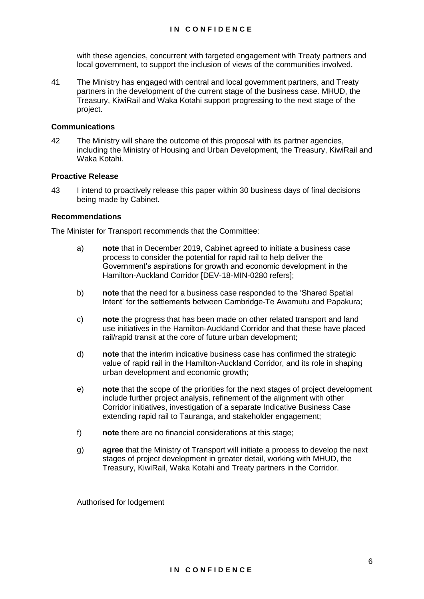with these agencies, concurrent with targeted engagement with Treaty partners and local government, to support the inclusion of views of the communities involved.

41 The Ministry has engaged with central and local government partners, and Treaty partners in the development of the current stage of the business case. MHUD, the Treasury, KiwiRail and Waka Kotahi support progressing to the next stage of the project.

#### **Communications**

42 The Ministry will share the outcome of this proposal with its partner agencies, including the Ministry of Housing and Urban Development, the Treasury, KiwiRail and Waka Kotahi.

## **Proactive Release**

43 I intend to proactively release this paper within 30 business days of final decisions being made by Cabinet.

## **Recommendations**

The Minister for Transport recommends that the Committee:

- a) **note** that in December 2019, Cabinet agreed to initiate a business case process to consider the potential for rapid rail to help deliver the Government's aspirations for growth and economic development in the Hamilton-Auckland Corridor [DEV-18-MIN-0280 refers];
- b) **note** that the need for a business case responded to the 'Shared Spatial Intent' for the settlements between Cambridge-Te Awamutu and Papakura;
- c) **note** the progress that has been made on other related transport and land use initiatives in the Hamilton-Auckland Corridor and that these have placed rail/rapid transit at the core of future urban development;
- d) **note** that the interim indicative business case has confirmed the strategic value of rapid rail in the Hamilton-Auckland Corridor, and its role in shaping urban development and economic growth;
- e) **note** that the scope of the priorities for the next stages of project development include further project analysis, refinement of the alignment with other Corridor initiatives, investigation of a separate Indicative Business Case extending rapid rail to Tauranga, and stakeholder engagement;
- f) **note** there are no financial considerations at this stage;
- g) **agree** that the Ministry of Transport will initiate a process to develop the next stages of project development in greater detail, working with MHUD, the Treasury, KiwiRail, Waka Kotahi and Treaty partners in the Corridor.

Authorised for lodgement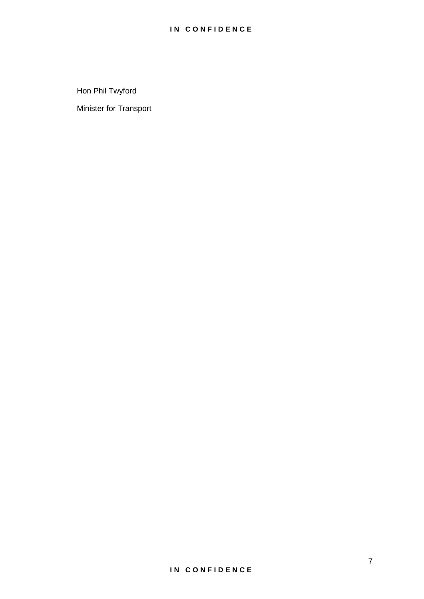Hon Phil Twyford

Minister for Transport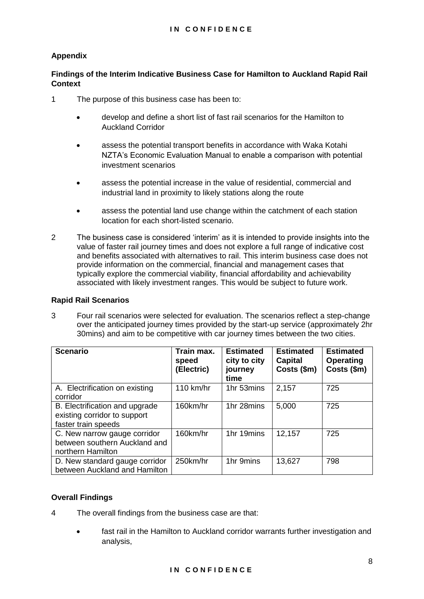# **Appendix**

# **Findings of the Interim Indicative Business Case for Hamilton to Auckland Rapid Rail Context**

- 1 The purpose of this business case has been to:
	- develop and define a short list of fast rail scenarios for the Hamilton to Auckland Corridor
	- assess the potential transport benefits in accordance with Waka Kotahi NZTA's Economic Evaluation Manual to enable a comparison with potential investment scenarios
	- assess the potential increase in the value of residential, commercial and industrial land in proximity to likely stations along the route
	- assess the potential land use change within the catchment of each station location for each short-listed scenario.
- 2 The business case is considered 'interim' as it is intended to provide insights into the value of faster rail journey times and does not explore a full range of indicative cost and benefits associated with alternatives to rail. This interim business case does not provide information on the commercial, financial and management cases that typically explore the commercial viability, financial affordability and achievability associated with likely investment ranges. This would be subject to future work.

## **Rapid Rail Scenarios**

3 Four rail scenarios were selected for evaluation. The scenarios reflect a step-change over the anticipated journey times provided by the start-up service (approximately 2hr 30mins) and aim to be competitive with car journey times between the two cities.

| <b>Scenario</b>                                                                       | Train max.<br>speed<br>(Electric) | <b>Estimated</b><br>city to city<br>journey<br>time | <b>Estimated</b><br>Capital<br>Costs (\$m) | <b>Estimated</b><br><b>Operating</b><br>Costs (\$m) |
|---------------------------------------------------------------------------------------|-----------------------------------|-----------------------------------------------------|--------------------------------------------|-----------------------------------------------------|
| A. Electrification on existing<br>corridor                                            | 110 km/hr                         | 1hr 53mins                                          | 2,157                                      | 725                                                 |
| B. Electrification and upgrade<br>existing corridor to support<br>faster train speeds | 160km/hr                          | 1hr 28mins                                          | 5,000                                      | 725                                                 |
| C. New narrow gauge corridor<br>between southern Auckland and<br>northern Hamilton    | 160km/hr                          | 1hr 19mins                                          | 12,157                                     | 725                                                 |
| D. New standard gauge corridor<br>between Auckland and Hamilton                       | 250km/hr                          | 1hr 9mins                                           | 13,627                                     | 798                                                 |

## **Overall Findings**

- 4 The overall findings from the business case are that:
	- fast rail in the Hamilton to Auckland corridor warrants further investigation and analysis,